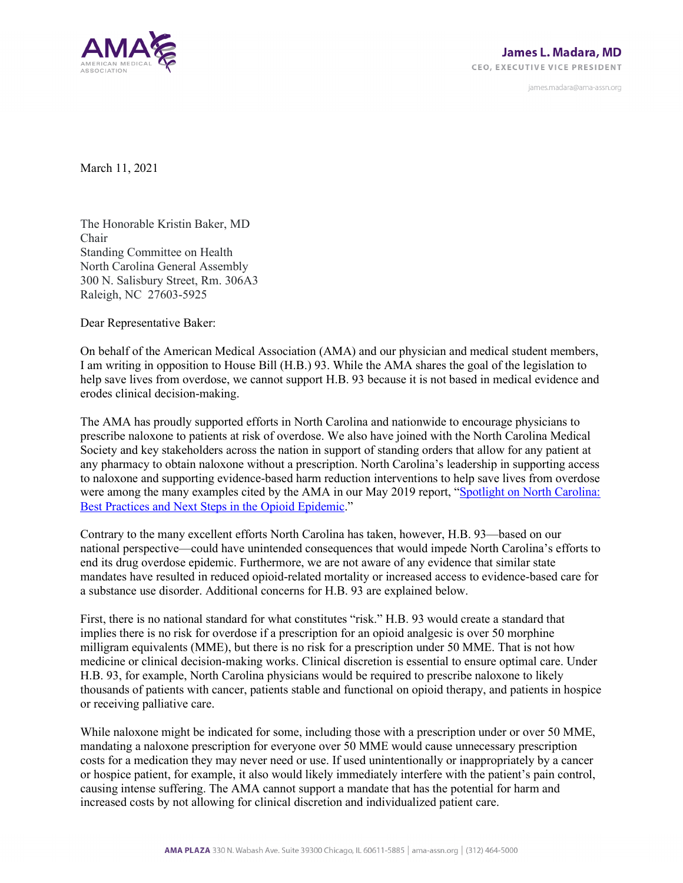

james.madara@ama-assn.org

March 11, 2021

The Honorable Kristin Baker, MD Chair Standing Committee on Health North Carolina General Assembly 300 N. Salisbury Street, Rm. 306A3 Raleigh, NC 27603-5925

Dear Representative Baker:

On behalf of the American Medical Association (AMA) and our physician and medical student members, I am writing in opposition to House Bill (H.B.) 93. While the AMA shares the goal of the legislation to help save lives from overdose, we cannot support H.B. 93 because it is not based in medical evidence and erodes clinical decision-making.

The AMA has proudly supported efforts in North Carolina and nationwide to encourage physicians to prescribe naloxone to patients at risk of overdose. We also have joined with the North Carolina Medical Society and key stakeholders across the nation in support of standing orders that allow for any patient at any pharmacy to obtain naloxone without a prescription. North Carolina's leadership in supporting access to naloxone and supporting evidence-based harm reduction interventions to help save lives from overdose were among the many examples cited by the AMA in our May 2019 report, ["Spotlight on North Carolina:](https://end-overdose-epidemic.org/wp-content/uploads/2020/06/AMA-Paper-Spotlight-on-North-Carolina-May-2019_FOR-WEB-FINAL.pdf)  [Best Practices and Next Steps in the Opioid Epidemic.](https://end-overdose-epidemic.org/wp-content/uploads/2020/06/AMA-Paper-Spotlight-on-North-Carolina-May-2019_FOR-WEB-FINAL.pdf)"

Contrary to the many excellent efforts North Carolina has taken, however, H.B. 93—based on our national perspective—could have unintended consequences that would impede North Carolina's efforts to end its drug overdose epidemic. Furthermore, we are not aware of any evidence that similar state mandates have resulted in reduced opioid-related mortality or increased access to evidence-based care for a substance use disorder. Additional concerns for H.B. 93 are explained below.

First, there is no national standard for what constitutes "risk." H.B. 93 would create a standard that implies there is no risk for overdose if a prescription for an opioid analgesic is over 50 morphine milligram equivalents (MME), but there is no risk for a prescription under 50 MME. That is not how medicine or clinical decision-making works. Clinical discretion is essential to ensure optimal care. Under H.B. 93, for example, North Carolina physicians would be required to prescribe naloxone to likely thousands of patients with cancer, patients stable and functional on opioid therapy, and patients in hospice or receiving palliative care.

While naloxone might be indicated for some, including those with a prescription under or over 50 MME, mandating a naloxone prescription for everyone over 50 MME would cause unnecessary prescription costs for a medication they may never need or use. If used unintentionally or inappropriately by a cancer or hospice patient, for example, it also would likely immediately interfere with the patient's pain control, causing intense suffering. The AMA cannot support a mandate that has the potential for harm and increased costs by not allowing for clinical discretion and individualized patient care.